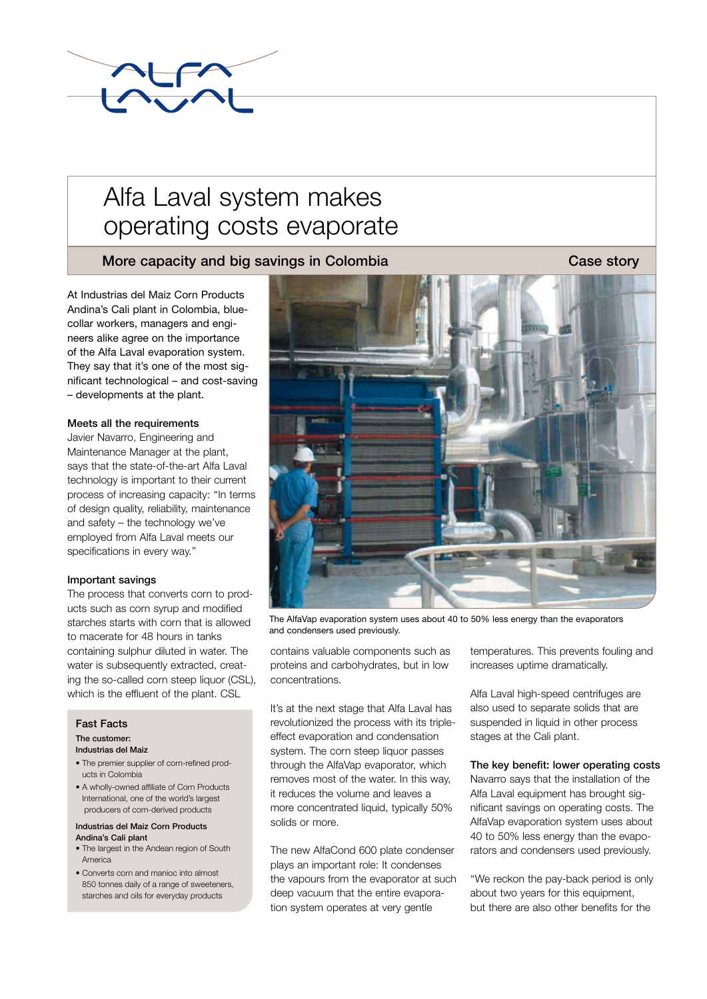

# Alfa Laval system makes operating costs evaporate

## More capacity and big savings in Colombia Case story Case story

At Industrias del Maiz Corn Products Andina's Cali plant in Colombia, bluecollar workers, managers and engineers alike agree on the importance of the Alfa Laval evaporation system. They say that it's one of the most significant technological – and cost-saving – developments at the plant.

## Meets all the requirements

Javier Navarro, Engineering and Maintenance Manager at the plant, says that the state-of-the-art Alfa Laval technology is important to their current process of increasing capacity: ''In terms of design quality, reliability, maintenance and safety – the technology we've employed from Alfa Laval meets our specifications in every way.''

## Important savings

The process that converts corn to products such as corn syrup and modified starches starts with corn that is allowed to macerate for 48 hours in tanks containing sulphur diluted in water. The water is subsequently extracted, creating the so-called corn steep liquor (CSL), which is the effluent of the plant. CSL

### Fast Facts

### The customer:

#### Industrias del Maiz

- The premier supplier of corn-refined products in Colombia
- A wholly-owned affiliate of Corn Products International, one of the world's largest producers of corn-derived products

#### Industrias del Maiz Corn Products Andina's Cali plant

- The largest in the Andean region of South America
- Converts corn and manioc into almost 850 tonnes daily of a range of sweeteners. starches and oils for everyday products



The AlfaVap evaporation system uses about 40 to 50% less energy than the evaporators and condensers used previously.

contains valuable components such as proteins and carbohydrates, but in low concentrations.

It's at the next stage that Alfa Laval has revolutionized the process with its tripleeffect evaporation and condensation system. The corn steep liquor passes through the AlfaVap evaporator, which removes most of the water. In this way, it reduces the volume and leaves a more concentrated liquid, typically 50% solids or more.

The new AlfaCond 600 plate condenser plays an important role: It condenses the vapours from the evaporator at such deep vacuum that the entire evaporation system operates at very gentle

temperatures. This prevents fouling and increases uptime dramatically.

Alfa Laval high-speed centrifuges are also used to separate solids that are suspended in liquid in other process stages at the Cali plant.

## The key benefit: lower operating costs

Navarro says that the installation of the Alfa Laval equipment has brought significant savings on operating costs. The AlfaVap evaporation system uses about 40 to 50% less energy than the evaporators and condensers used previously.

''We reckon the pay-back period is only about two years for this equipment. but there are also other benefits for the